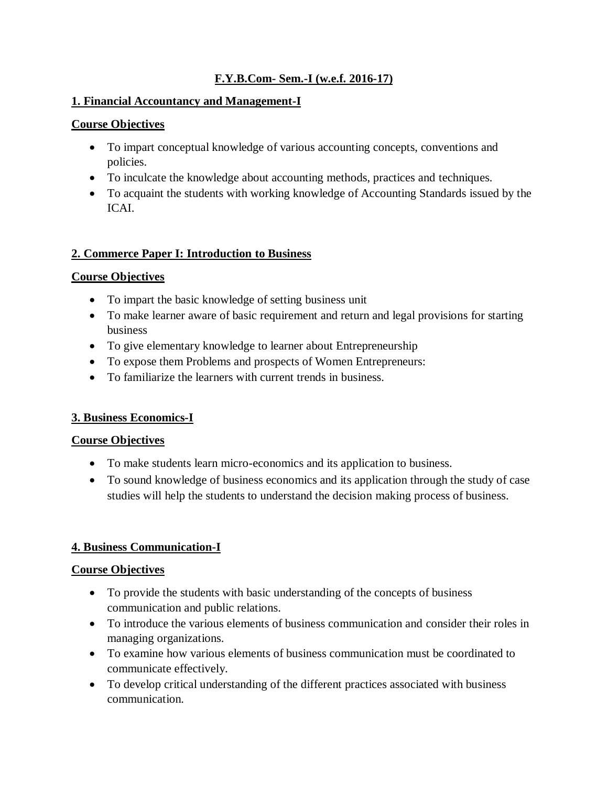### **F.Y.B.Com- Sem.-I (w.e.f. 2016-17)**

#### **1. Financial Accountancy and Management-I**

#### **Course Objectives**

- To impart conceptual knowledge of various accounting concepts, conventions and policies.
- To inculcate the knowledge about accounting methods, practices and techniques.
- To acquaint the students with working knowledge of Accounting Standards issued by the ICAI.

### **2. Commerce Paper I: Introduction to Business**

#### **Course Objectives**

- To impart the basic knowledge of setting business unit
- To make learner aware of basic requirement and return and legal provisions for starting business
- To give elementary knowledge to learner about Entrepreneurship
- To expose them Problems and prospects of Women Entrepreneurs:
- To familiarize the learners with current trends in business.

### **3. Business Economics-I**

#### **Course Objectives**

- To make students learn micro-economics and its application to business.
- To sound knowledge of business economics and its application through the study of case studies will help the students to understand the decision making process of business.

### **4. Business Communication-I**

- To provide the students with basic understanding of the concepts of business communication and public relations.
- To introduce the various elements of business communication and consider their roles in managing organizations.
- To examine how various elements of business communication must be coordinated to communicate effectively.
- To develop critical understanding of the different practices associated with business communication.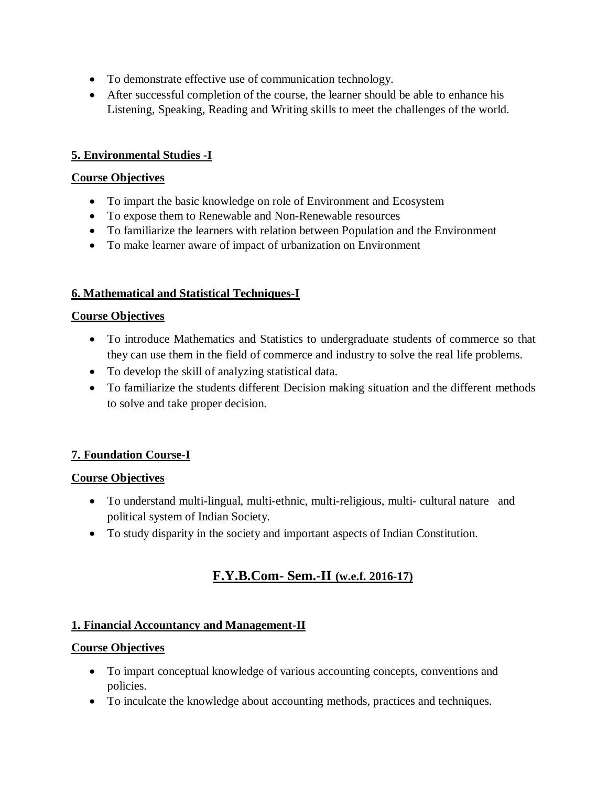- To demonstrate effective use of communication technology.
- After successful completion of the course, the learner should be able to enhance his Listening, Speaking, Reading and Writing skills to meet the challenges of the world.

#### **5. Environmental Studies -I**

#### **Course Objectives**

- To impart the basic knowledge on role of Environment and Ecosystem
- To expose them to Renewable and Non-Renewable resources
- To familiarize the learners with relation between Population and the Environment
- To make learner aware of impact of urbanization on Environment

### **6. Mathematical and Statistical Techniques-I**

#### **Course Objectives**

- To introduce Mathematics and Statistics to undergraduate students of commerce so that they can use them in the field of commerce and industry to solve the real life problems.
- To develop the skill of analyzing statistical data.
- To familiarize the students different Decision making situation and the different methods to solve and take proper decision.

### **7. Foundation Course-I**

#### **Course Objectives**

- To understand multi-lingual, multi-ethnic, multi-religious, multi- cultural nature and political system of Indian Society.
- To study disparity in the society and important aspects of Indian Constitution.

# **F.Y.B.Com- Sem.-II (w.e.f. 2016-17)**

#### **1. Financial Accountancy and Management-II**

- To impart conceptual knowledge of various accounting concepts, conventions and policies.
- To inculcate the knowledge about accounting methods, practices and techniques.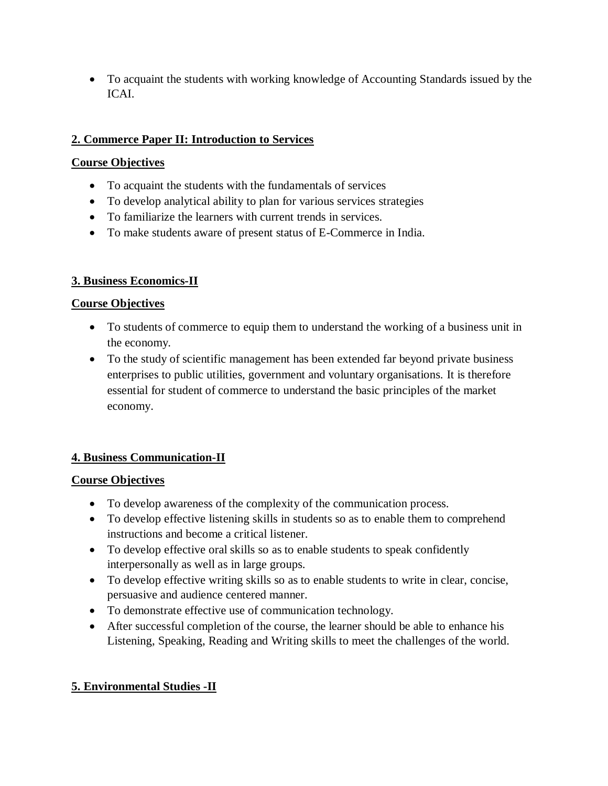To acquaint the students with working knowledge of Accounting Standards issued by the ICAI.

### **2. Commerce Paper II: Introduction to Services**

### **Course Objectives**

- To acquaint the students with the fundamentals of services
- To develop analytical ability to plan for various services strategies
- To familiarize the learners with current trends in services.
- To make students aware of present status of E-Commerce in India.

### **3. Business Economics-II**

### **Course Objectives**

- To students of commerce to equip them to understand the working of a business unit in the economy.
- To the study of scientific management has been extended far beyond private business enterprises to public utilities, government and voluntary organisations. It is therefore essential for student of commerce to understand the basic principles of the market economy.

### **4. Business Communication-II**

### **Course Objectives**

- To develop awareness of the complexity of the communication process.
- To develop effective listening skills in students so as to enable them to comprehend instructions and become a critical listener.
- To develop effective oral skills so as to enable students to speak confidently interpersonally as well as in large groups.
- To develop effective writing skills so as to enable students to write in clear, concise, persuasive and audience centered manner.
- To demonstrate effective use of communication technology.
- After successful completion of the course, the learner should be able to enhance his Listening, Speaking, Reading and Writing skills to meet the challenges of the world.

### **5. Environmental Studies -II**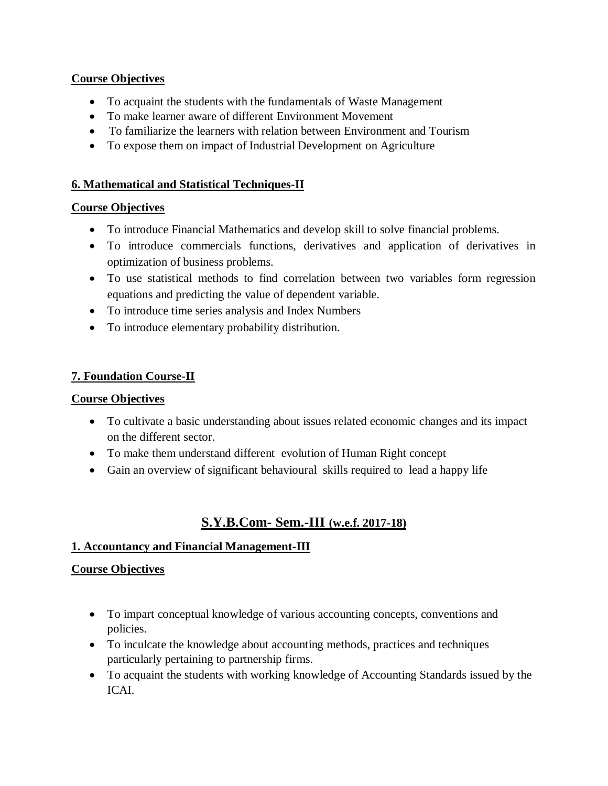#### **Course Objectives**

- To acquaint the students with the fundamentals of Waste Management
- To make learner aware of different Environment Movement
- To familiarize the learners with relation between Environment and Tourism
- To expose them on impact of Industrial Development on Agriculture

### **6. Mathematical and Statistical Techniques-II**

### **Course Objectives**

- To introduce Financial Mathematics and develop skill to solve financial problems.
- To introduce commercials functions, derivatives and application of derivatives in optimization of business problems.
- To use statistical methods to find correlation between two variables form regression equations and predicting the value of dependent variable.
- To introduce time series analysis and Index Numbers
- To introduce elementary probability distribution.

### **7. Foundation Course-II**

### **Course Objectives**

- To cultivate a basic understanding about issues related economic changes and its impact on the different sector.
- To make them understand different evolution of Human Right concept
- Gain an overview of significant behavioural skills required to lead a happy life

# **S.Y.B.Com- Sem.-III (w.e.f. 2017-18)**

### **1. Accountancy and Financial Management-III**

- To impart conceptual knowledge of various accounting concepts, conventions and policies.
- To inculcate the knowledge about accounting methods, practices and techniques particularly pertaining to partnership firms.
- To acquaint the students with working knowledge of Accounting Standards issued by the ICAI.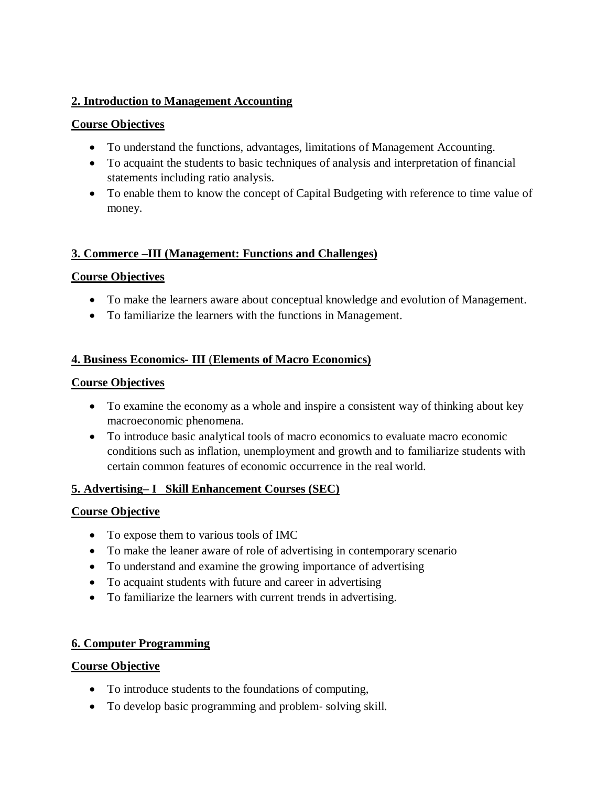### **2. Introduction to Management Accounting**

#### **Course Objectives**

- To understand the functions, advantages, limitations of Management Accounting.
- To acquaint the students to basic techniques of analysis and interpretation of financial statements including ratio analysis.
- To enable them to know the concept of Capital Budgeting with reference to time value of money.

#### **3. Commerce –III (Management: Functions and Challenges)**

### **Course Objectives**

- To make the learners aware about conceptual knowledge and evolution of Management.
- To familiarize the learners with the functions in Management.

### **4. Business Economics- III** (**Elements of Macro Economics)**

#### **Course Objectives**

- To examine the economy as a whole and inspire a consistent way of thinking about key macroeconomic phenomena.
- To introduce basic analytical tools of macro economics to evaluate macro economic conditions such as inflation, unemployment and growth and to familiarize students with certain common features of economic occurrence in the real world.

#### **5. Advertising– I Skill Enhancement Courses (SEC)**

#### **Course Objective**

- To expose them to various tools of IMC
- To make the leaner aware of role of advertising in contemporary scenario
- To understand and examine the growing importance of advertising
- To acquaint students with future and career in advertising
- To familiarize the learners with current trends in advertising.

#### **6. Computer Programming**

- To introduce students to the foundations of computing,
- To develop basic programming and problem‐ solving skill.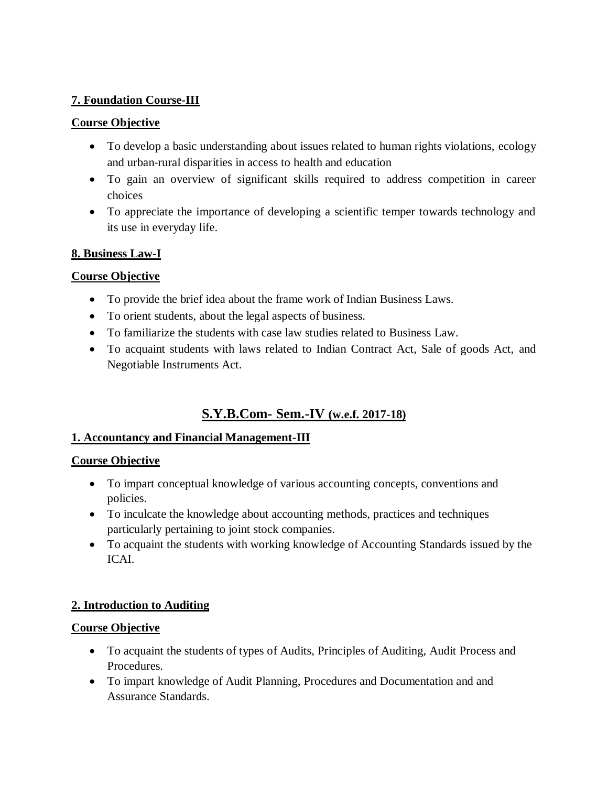#### **7. Foundation Course-III**

#### **Course Objective**

- To develop a basic understanding about issues related to human rights violations, ecology and urban‐rural disparities in access to health and education
- To gain an overview of significant skills required to address competition in career choices
- To appreciate the importance of developing a scientific temper towards technology and its use in everyday life.

#### **8. Business Law-I**

### **Course Objective**

- To provide the brief idea about the frame work of Indian Business Laws.
- To orient students, about the legal aspects of business.
- To familiarize the students with case law studies related to Business Law.
- To acquaint students with laws related to Indian Contract Act, Sale of goods Act, and Negotiable Instruments Act.

# **S.Y.B.Com- Sem.-IV (w.e.f. 2017-18)**

#### **1. Accountancy and Financial Management-III**

#### **Course Objective**

- To impart conceptual knowledge of various accounting concepts, conventions and policies.
- To inculcate the knowledge about accounting methods, practices and techniques particularly pertaining to joint stock companies.
- To acquaint the students with working knowledge of Accounting Standards issued by the ICAI.

#### **2. Introduction to Auditing**

- To acquaint the students of types of Audits, Principles of Auditing, Audit Process and Procedures.
- To impart knowledge of Audit Planning, Procedures and Documentation and and Assurance Standards.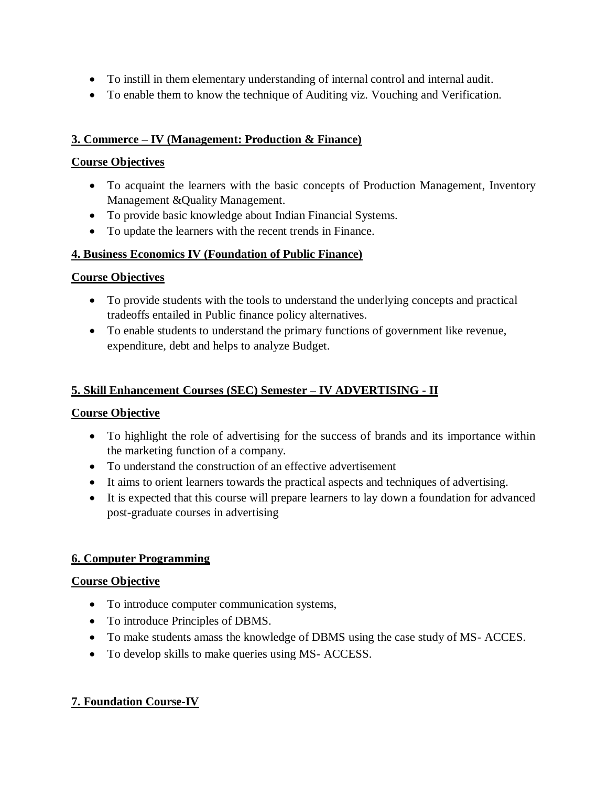- To instill in them elementary understanding of internal control and internal audit.
- To enable them to know the technique of Auditing viz. Vouching and Verification.

### **3. Commerce – IV (Management: Production & Finance)**

#### **Course Objectives**

- To acquaint the learners with the basic concepts of Production Management, Inventory Management &Quality Management.
- To provide basic knowledge about Indian Financial Systems.
- To update the learners with the recent trends in Finance.

### **4. Business Economics IV (Foundation of Public Finance)**

### **Course Objectives**

- To provide students with the tools to understand the underlying concepts and practical tradeoffs entailed in Public finance policy alternatives.
- To enable students to understand the primary functions of government like revenue, expenditure, debt and helps to analyze Budget.

### **5. Skill Enhancement Courses (SEC) Semester – IV ADVERTISING - II**

### **Course Objective**

- To highlight the role of advertising for the success of brands and its importance within the marketing function of a company.
- To understand the construction of an effective advertisement
- It aims to orient learners towards the practical aspects and techniques of advertising.
- It is expected that this course will prepare learners to lay down a foundation for advanced post-graduate courses in advertising

#### **6. Computer Programming**

#### **Course Objective**

- To introduce computer communication systems,
- To introduce Principles of DBMS.
- To make students amass the knowledge of DBMS using the case study of MS- ACCES.
- To develop skills to make queries using MS- ACCESS.

### **7. Foundation Course-IV**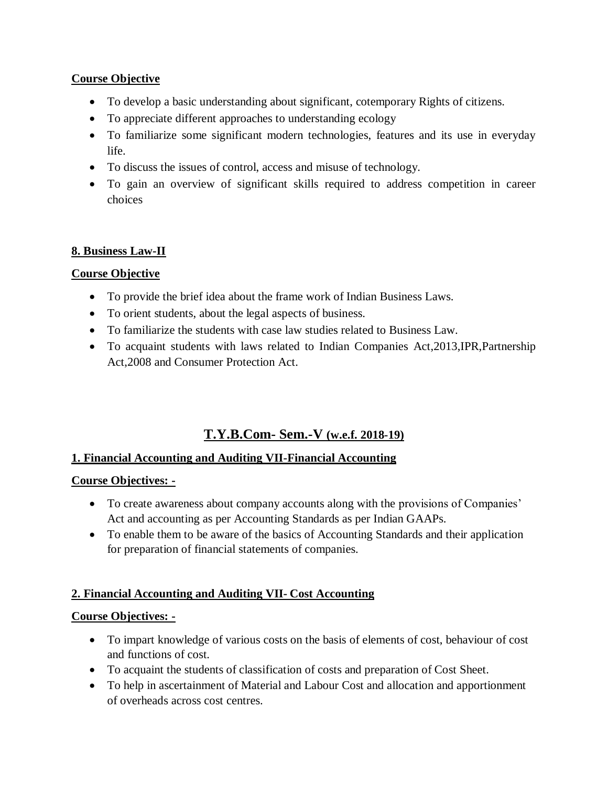### **Course Objective**

- To develop a basic understanding about significant, cotemporary Rights of citizens.
- To appreciate different approaches to understanding ecology
- To familiarize some significant modern technologies, features and its use in everyday life.
- To discuss the issues of control, access and misuse of technology.
- To gain an overview of significant skills required to address competition in career choices

### **8. Business Law-II**

#### **Course Objective**

- To provide the brief idea about the frame work of Indian Business Laws.
- To orient students, about the legal aspects of business.
- To familiarize the students with case law studies related to Business Law.
- To acquaint students with laws related to Indian Companies Act,2013,IPR,Partnership Act,2008 and Consumer Protection Act.

### **T.Y.B.Com- Sem.-V (w.e.f. 2018-19)**

#### **1. Financial Accounting and Auditing VII-Financial Accounting**

#### **Course Objectives: -**

- To create awareness about company accounts along with the provisions of Companies' Act and accounting as per Accounting Standards as per Indian GAAPs.
- To enable them to be aware of the basics of Accounting Standards and their application for preparation of financial statements of companies.

#### **2. Financial Accounting and Auditing VII- Cost Accounting**

- To impart knowledge of various costs on the basis of elements of cost, behaviour of cost and functions of cost.
- To acquaint the students of classification of costs and preparation of Cost Sheet.
- To help in ascertainment of Material and Labour Cost and allocation and apportionment of overheads across cost centres.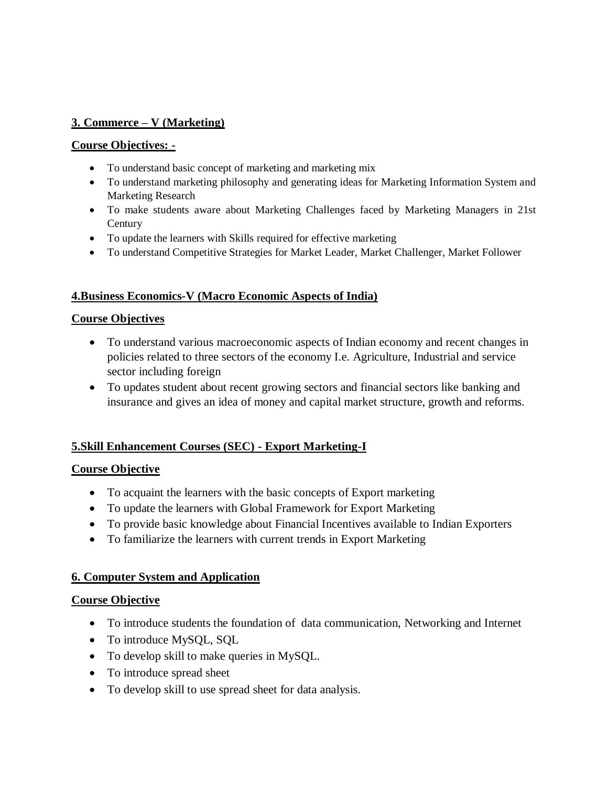### **3. Commerce – V (Marketing)**

#### **Course Objectives: -**

- To understand basic concept of marketing and marketing mix
- To understand marketing philosophy and generating ideas for Marketing Information System and Marketing Research
- To make students aware about Marketing Challenges faced by Marketing Managers in 21st **Century**
- To update the learners with Skills required for effective marketing
- To understand Competitive Strategies for Market Leader, Market Challenger, Market Follower

#### **4.Business Economics-V (Macro Economic Aspects of India)**

#### **Course Objectives**

- To understand various macroeconomic aspects of Indian economy and recent changes in policies related to three sectors of the economy I.e. Agriculture, Industrial and service sector including foreign
- To updates student about recent growing sectors and financial sectors like banking and insurance and gives an idea of money and capital market structure, growth and reforms.

#### **5.Skill Enhancement Courses (SEC) - Export Marketing-I**

#### **Course Objective**

- To acquaint the learners with the basic concepts of Export marketing
- To update the learners with Global Framework for Export Marketing
- To provide basic knowledge about Financial Incentives available to Indian Exporters
- To familiarize the learners with current trends in Export Marketing

#### **6. Computer System and Application**

- To introduce students the foundation of data communication, Networking and Internet
- To introduce MySQL, SQL
- To develop skill to make queries in MySQL.
- To introduce spread sheet
- To develop skill to use spread sheet for data analysis.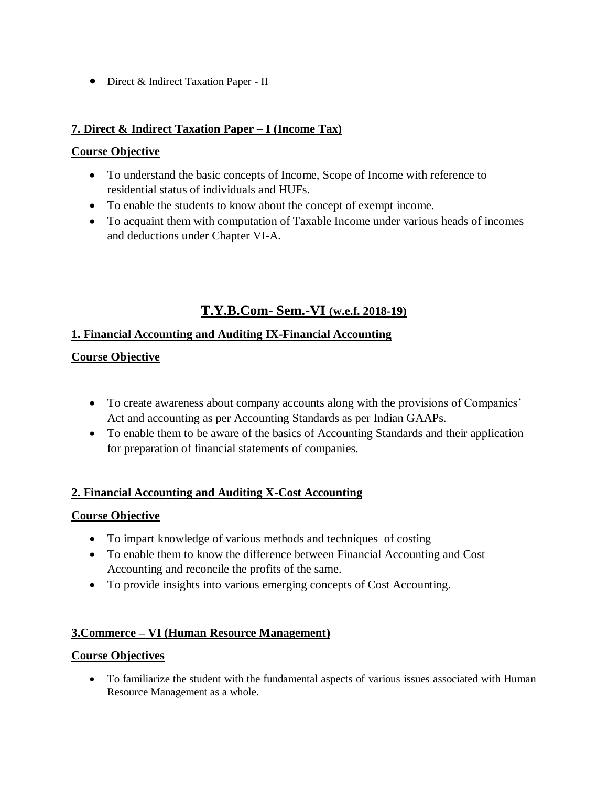Direct & Indirect Taxation Paper - II

#### **7. Direct & Indirect Taxation Paper – I (Income Tax)**

#### **Course Objective**

- To understand the basic concepts of Income, Scope of Income with reference to residential status of individuals and HUFs.
- To enable the students to know about the concept of exempt income.
- To acquaint them with computation of Taxable Income under various heads of incomes and deductions under Chapter VI-A.

## **T.Y.B.Com- Sem.-VI (w.e.f. 2018-19)**

#### **1. Financial Accounting and Auditing IX-Financial Accounting**

#### **Course Objective**

- To create awareness about company accounts along with the provisions of Companies' Act and accounting as per Accounting Standards as per Indian GAAPs.
- To enable them to be aware of the basics of Accounting Standards and their application for preparation of financial statements of companies.

#### **2. Financial Accounting and Auditing X-Cost Accounting**

#### **Course Objective**

- To impart knowledge of various methods and techniques of costing
- To enable them to know the difference between Financial Accounting and Cost Accounting and reconcile the profits of the same.
- To provide insights into various emerging concepts of Cost Accounting.

#### **3.Commerce – VI (Human Resource Management)**

#### **Course Objectives**

 To familiarize the student with the fundamental aspects of various issues associated with Human Resource Management as a whole.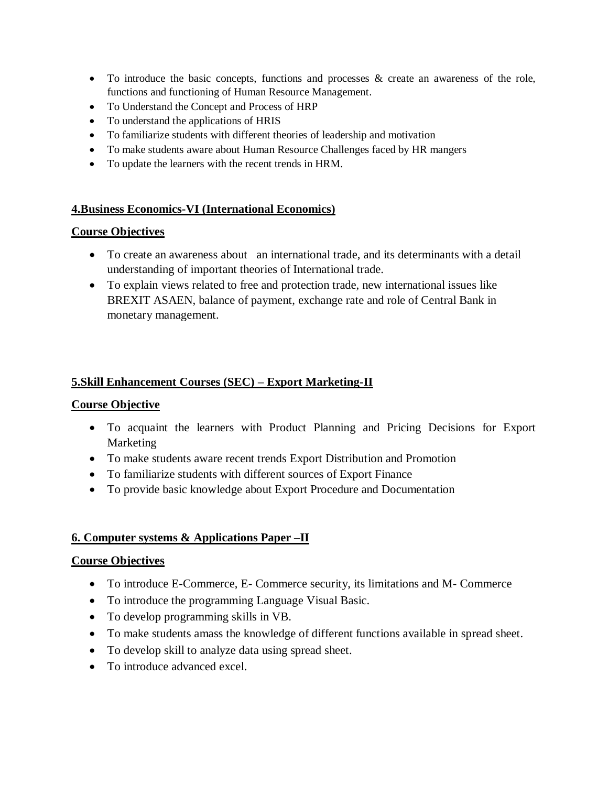- $\bullet$  To introduce the basic concepts, functions and processes  $\&$  create an awareness of the role, functions and functioning of Human Resource Management.
- To Understand the Concept and Process of HRP
- To understand the applications of HRIS
- To familiarize students with different theories of leadership and motivation
- To make students aware about Human Resource Challenges faced by HR mangers
- To update the learners with the recent trends in HRM.

#### **4.Business Economics-VI (International Economics)**

#### **Course Objectives**

- To create an awareness about an international trade, and its determinants with a detail understanding of important theories of International trade.
- To explain views related to free and protection trade, new international issues like BREXIT ASAEN, balance of payment, exchange rate and role of Central Bank in monetary management.

#### **5.Skill Enhancement Courses (SEC) – Export Marketing-II**

#### **Course Objective**

- To acquaint the learners with Product Planning and Pricing Decisions for Export Marketing
- To make students aware recent trends Export Distribution and Promotion
- To familiarize students with different sources of Export Finance
- To provide basic knowledge about Export Procedure and Documentation

#### **6. Computer systems & Applications Paper –II**

- To introduce E-Commerce, E- Commerce security, its limitations and M- Commerce
- To introduce the programming Language Visual Basic.
- To develop programming skills in VB.
- To make students amass the knowledge of different functions available in spread sheet.
- To develop skill to analyze data using spread sheet.
- To introduce advanced excel.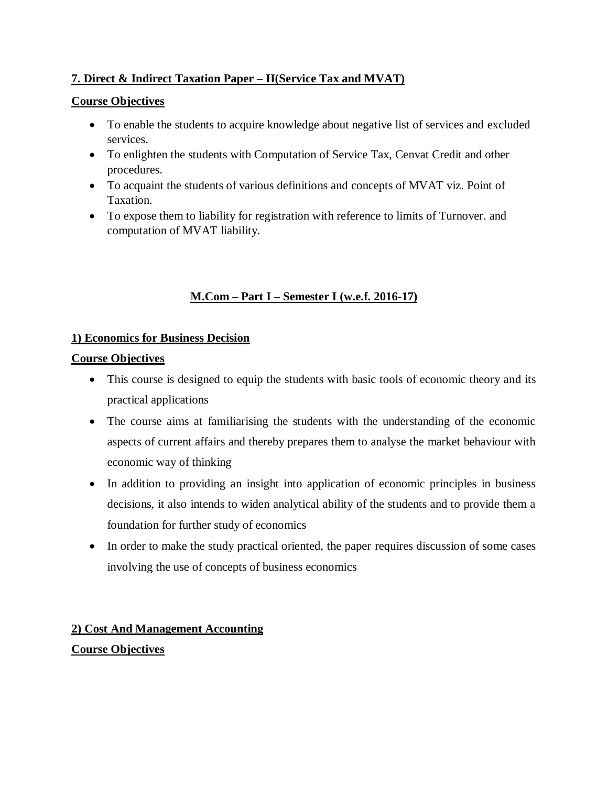### **7. Direct & Indirect Taxation Paper – II(Service Tax and MVAT)**

### **Course Objectives**

- To enable the students to acquire knowledge about negative list of services and excluded services.
- To enlighten the students with Computation of Service Tax, Cenvat Credit and other procedures.
- To acquaint the students of various definitions and concepts of MVAT viz. Point of Taxation.
- To expose them to liability for registration with reference to limits of Turnover. and computation of MVAT liability.

### **M.Com – Part I – Semester I (w.e.f. 2016-17)**

### **1) Economics for Business Decision**

### **Course Objectives**

- This course is designed to equip the students with basic tools of economic theory and its practical applications
- The course aims at familiarising the students with the understanding of the economic aspects of current affairs and thereby prepares them to analyse the market behaviour with economic way of thinking
- In addition to providing an insight into application of economic principles in business decisions, it also intends to widen analytical ability of the students and to provide them a foundation for further study of economics
- In order to make the study practical oriented, the paper requires discussion of some cases involving the use of concepts of business economics

# **2) Cost And Management Accounting Course Objectives**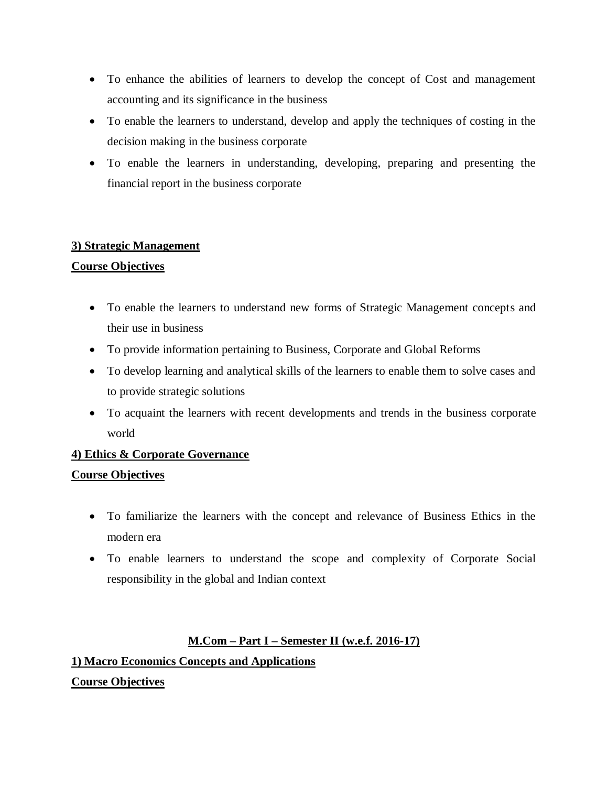- To enhance the abilities of learners to develop the concept of Cost and management accounting and its significance in the business
- To enable the learners to understand, develop and apply the techniques of costing in the decision making in the business corporate
- To enable the learners in understanding, developing, preparing and presenting the financial report in the business corporate

#### **3) Strategic Management**

### **Course Objectives**

- To enable the learners to understand new forms of Strategic Management concepts and their use in business
- To provide information pertaining to Business, Corporate and Global Reforms
- To develop learning and analytical skills of the learners to enable them to solve cases and to provide strategic solutions
- To acquaint the learners with recent developments and trends in the business corporate world

# **4) Ethics & Corporate Governance Course Objectives**

- To familiarize the learners with the concept and relevance of Business Ethics in the modern era
- To enable learners to understand the scope and complexity of Corporate Social responsibility in the global and Indian context

### **M.Com – Part I – Semester II (w.e.f. 2016-17)**

# **1) Macro Economics Concepts and Applications Course Objectives**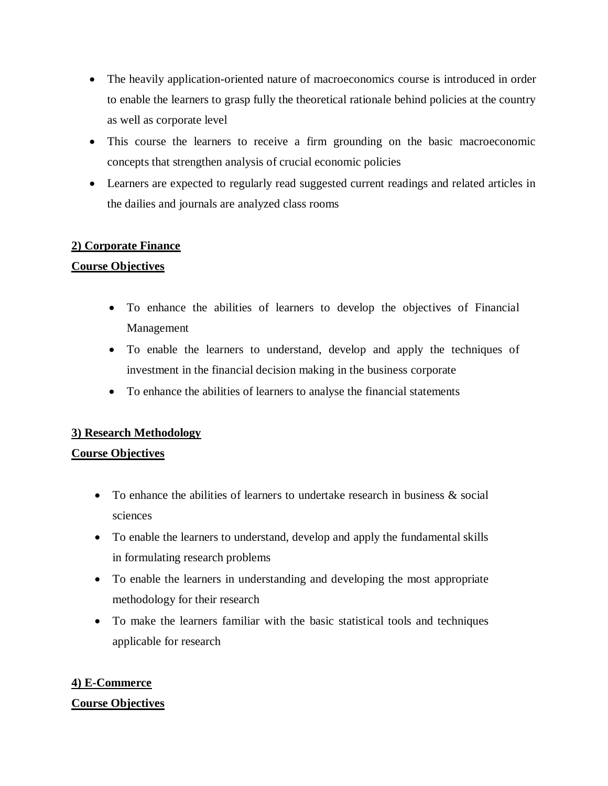- The heavily application-oriented nature of macroeconomics course is introduced in order to enable the learners to grasp fully the theoretical rationale behind policies at the country as well as corporate level
- This course the learners to receive a firm grounding on the basic macroeconomic concepts that strengthen analysis of crucial economic policies
- Learners are expected to regularly read suggested current readings and related articles in the dailies and journals are analyzed class rooms

#### **2) Corporate Finance**

#### **Course Objectives**

- To enhance the abilities of learners to develop the objectives of Financial Management
- To enable the learners to understand, develop and apply the techniques of investment in the financial decision making in the business corporate
- To enhance the abilities of learners to analyse the financial statements

#### **3) Research Methodology**

#### **Course Objectives**

- To enhance the abilities of learners to undertake research in business  $\&$  social sciences
- To enable the learners to understand, develop and apply the fundamental skills in formulating research problems
- To enable the learners in understanding and developing the most appropriate methodology for their research
- To make the learners familiar with the basic statistical tools and techniques applicable for research

#### **4) E-Commerce**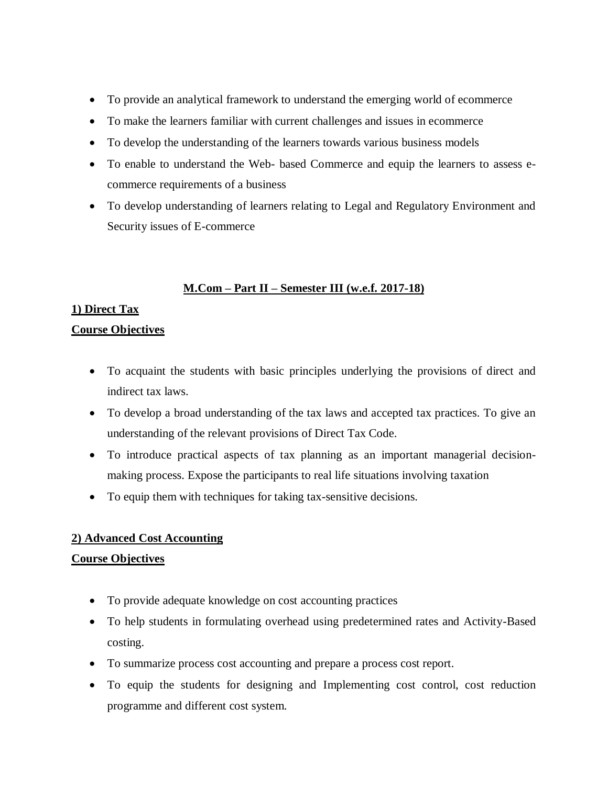- To provide an analytical framework to understand the emerging world of ecommerce
- To make the learners familiar with current challenges and issues in ecommerce
- To develop the understanding of the learners towards various business models
- To enable to understand the Web- based Commerce and equip the learners to assess ecommerce requirements of a business
- To develop understanding of learners relating to Legal and Regulatory Environment and Security issues of E-commerce

### **M.Com – Part II – Semester III (w.e.f. 2017-18)**

### **1) Direct Tax**

#### **Course Objectives**

- To acquaint the students with basic principles underlying the provisions of direct and indirect tax laws.
- To develop a broad understanding of the tax laws and accepted tax practices. To give an understanding of the relevant provisions of Direct Tax Code.
- To introduce practical aspects of tax planning as an important managerial decisionmaking process. Expose the participants to real life situations involving taxation
- To equip them with techniques for taking tax-sensitive decisions.

#### **2) Advanced Cost Accounting**

- To provide adequate knowledge on cost accounting practices
- To help students in formulating overhead using predetermined rates and Activity-Based costing.
- To summarize process cost accounting and prepare a process cost report.
- To equip the students for designing and Implementing cost control, cost reduction programme and different cost system.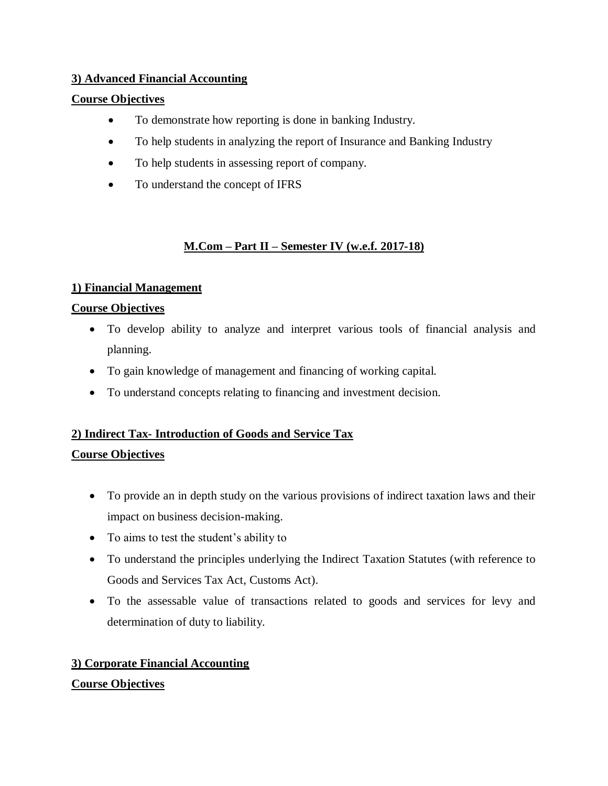### **3) Advanced Financial Accounting**

#### **Course Objectives**

- To demonstrate how reporting is done in banking Industry.
- To help students in analyzing the report of Insurance and Banking Industry
- To help students in assessing report of company.
- To understand the concept of IFRS

### **M.Com – Part II – Semester IV (w.e.f. 2017-18)**

### **1) Financial Management**

### **Course Objectives**

- To develop ability to analyze and interpret various tools of financial analysis and planning.
- To gain knowledge of management and financing of working capital.
- To understand concepts relating to financing and investment decision.

### **2) Indirect Tax- Introduction of Goods and Service Tax**

### **Course Objectives**

- To provide an in depth study on the various provisions of indirect taxation laws and their impact on business decision-making.
- To aims to test the student's ability to
- To understand the principles underlying the Indirect Taxation Statutes (with reference to Goods and Services Tax Act, Customs Act).
- To the assessable value of transactions related to goods and services for levy and determination of duty to liability.

### **3) Corporate Financial Accounting**